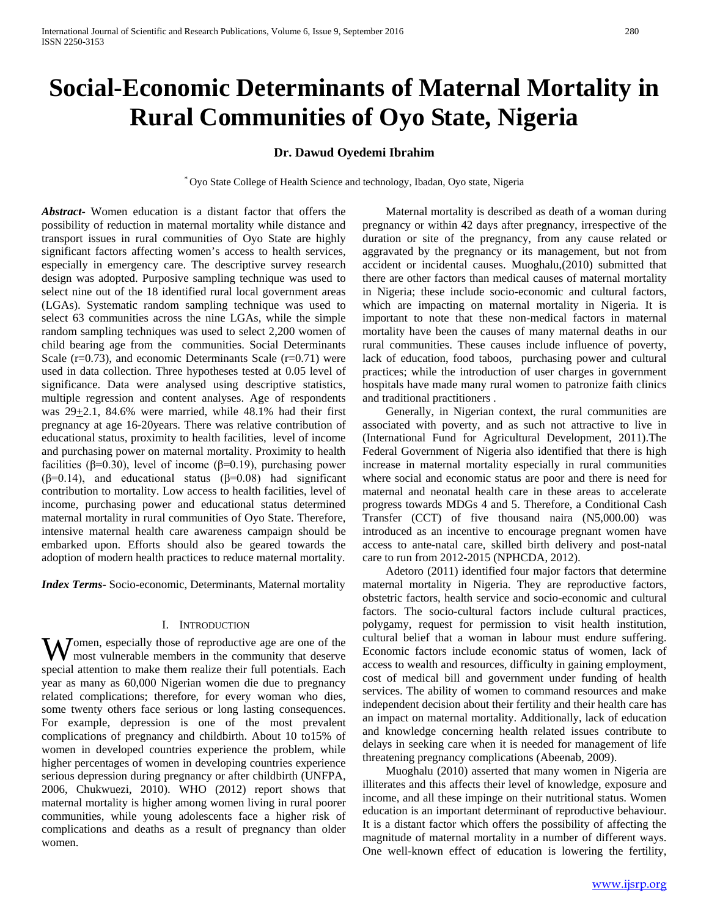# **Social-Economic Determinants of Maternal Mortality in Rural Communities of Oyo State, Nigeria**

# **Dr. Dawud Oyedemi Ibrahim**

\* Oyo State College of Health Science and technology, Ibadan, Oyo state, Nigeria

*Abstract***-** Women education is a distant factor that offers the possibility of reduction in maternal mortality while distance and transport issues in rural communities of Oyo State are highly significant factors affecting women's access to health services, especially in emergency care. The descriptive survey research design was adopted. Purposive sampling technique was used to select nine out of the 18 identified rural local government areas (LGAs). Systematic random sampling technique was used to select 63 communities across the nine LGAs, while the simple random sampling techniques was used to select 2,200 women of child bearing age from the communities. Social Determinants Scale  $(r=0.73)$ , and economic Determinants Scale  $(r=0.71)$  were used in data collection. Three hypotheses tested at 0.05 level of significance. Data were analysed using descriptive statistics, multiple regression and content analyses. Age of respondents was  $29\pm2.1$ , 84.6% were married, while 48.1% had their first pregnancy at age 16-20years. There was relative contribution of educational status, proximity to health facilities, level of income and purchasing power on maternal mortality. Proximity to health facilities (β=0.30), level of income (β=0.19), purchasing power (β=0.14), and educational status (β=0.08) had significant contribution to mortality. Low access to health facilities, level of income, purchasing power and educational status determined maternal mortality in rural communities of Oyo State. Therefore, intensive maternal health care awareness campaign should be embarked upon. Efforts should also be geared towards the adoption of modern health practices to reduce maternal mortality.

*Index Terms*- Socio-economic, Determinants, Maternal mortality

## I. INTRODUCTION

Women, especially those of reproductive age are one of the most vulnerable members in the community that deserve most vulnerable members in the community that deserve special attention to make them realize their full potentials. Each year as many as 60,000 Nigerian women die due to pregnancy related complications; therefore, for every woman who dies, some twenty others face serious or long lasting consequences. For example, depression is one of the most prevalent complications of pregnancy and childbirth. About 10 to15% of women in developed countries experience the problem, while higher percentages of women in developing countries experience serious depression during pregnancy or after childbirth (UNFPA, 2006, Chukwuezi, 2010). WHO (2012) report shows that maternal mortality is higher among women living in rural poorer communities, while young adolescents face a higher risk of complications and deaths as a result of pregnancy than older women.

 Maternal mortality is described as death of a woman during pregnancy or within 42 days after pregnancy, irrespective of the duration or site of the pregnancy, from any cause related or aggravated by the pregnancy or its management, but not from accident or incidental causes. Muoghalu,(2010) submitted that there are other factors than medical causes of maternal mortality in Nigeria; these include socio-economic and cultural factors, which are impacting on maternal mortality in Nigeria. It is important to note that these non-medical factors in maternal mortality have been the causes of many maternal deaths in our rural communities. These causes include influence of poverty, lack of education, food taboos, purchasing power and cultural practices; while the introduction of user charges in government hospitals have made many rural women to patronize faith clinics and traditional practitioners .

 Generally, in Nigerian context, the rural communities are associated with poverty, and as such not attractive to live in (International Fund for Agricultural Development, 2011).The Federal Government of Nigeria also identified that there is high increase in maternal mortality especially in rural communities where social and economic status are poor and there is need for maternal and neonatal health care in these areas to accelerate progress towards MDGs 4 and 5. Therefore, a Conditional Cash Transfer (CCT) of five thousand naira (N5,000.00) was introduced as an incentive to encourage pregnant women have access to ante-natal care, skilled birth delivery and post-natal care to run from 2012-2015 (NPHCDA, 2012).

 Adetoro (2011) identified four major factors that determine maternal mortality in Nigeria. They are reproductive factors, obstetric factors, health service and socio-economic and cultural factors. The socio-cultural factors include cultural practices, polygamy, request for permission to visit health institution, cultural belief that a woman in labour must endure suffering. Economic factors include economic status of women, lack of access to wealth and resources, difficulty in gaining employment, cost of medical bill and government under funding of health services. The ability of women to command resources and make independent decision about their fertility and their health care has an impact on maternal mortality. Additionally, lack of education and knowledge concerning health related issues contribute to delays in seeking care when it is needed for management of life threatening pregnancy complications (Abeenab, 2009).

 Muoghalu (2010) asserted that many women in Nigeria are illiterates and this affects their level of knowledge, exposure and income, and all these impinge on their nutritional status. Women education is an important determinant of reproductive behaviour. It is a distant factor which offers the possibility of affecting the magnitude of maternal mortality in a number of different ways. One well-known effect of education is lowering the fertility,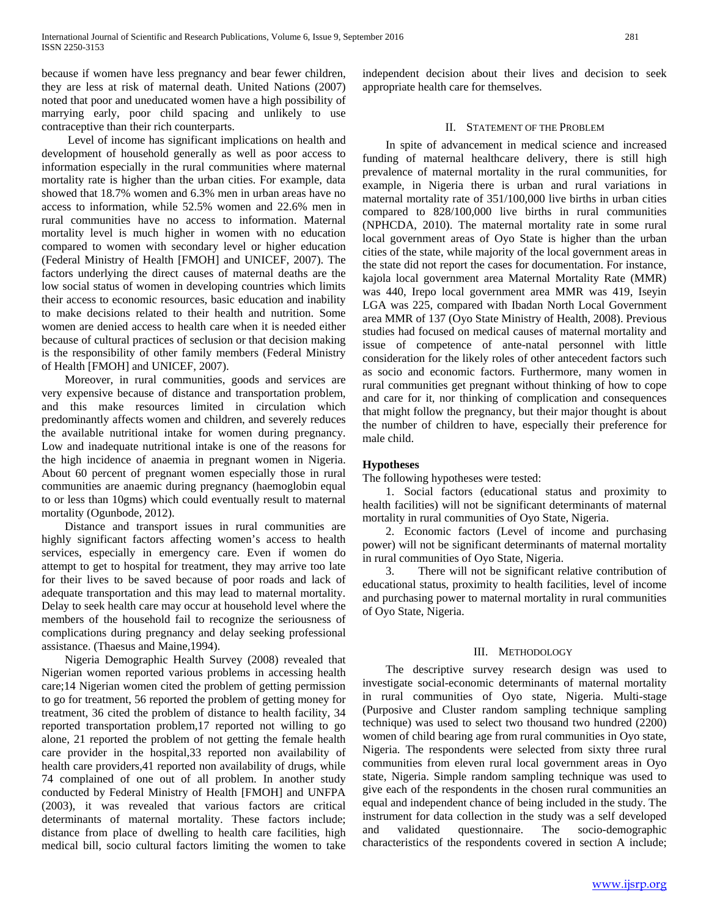because if women have less pregnancy and bear fewer children, they are less at risk of maternal death. United Nations (2007) noted that poor and uneducated women have a high possibility of marrying early, poor child spacing and unlikely to use contraceptive than their rich counterparts.

 Level of income has significant implications on health and development of household generally as well as poor access to information especially in the rural communities where maternal mortality rate is higher than the urban cities. For example, data showed that 18.7% women and 6.3% men in urban areas have no access to information, while 52.5% women and 22.6% men in rural communities have no access to information. Maternal mortality level is much higher in women with no education compared to women with secondary level or higher education (Federal Ministry of Health [FMOH] and UNICEF, 2007). The factors underlying the direct causes of maternal deaths are the low social status of women in developing countries which limits their access to economic resources, basic education and inability to make decisions related to their health and nutrition. Some women are denied access to health care when it is needed either because of cultural practices of seclusion or that decision making is the responsibility of other family members (Federal Ministry of Health [FMOH] and UNICEF, 2007).

 Moreover, in rural communities, goods and services are very expensive because of distance and transportation problem, and this make resources limited in circulation which predominantly affects women and children, and severely reduces the available nutritional intake for women during pregnancy. Low and inadequate nutritional intake is one of the reasons for the high incidence of anaemia in pregnant women in Nigeria. About 60 percent of pregnant women especially those in rural communities are anaemic during pregnancy (haemoglobin equal to or less than 10gms) which could eventually result to maternal mortality (Ogunbode, 2012).

 Distance and transport issues in rural communities are highly significant factors affecting women's access to health services, especially in emergency care. Even if women do attempt to get to hospital for treatment, they may arrive too late for their lives to be saved because of poor roads and lack of adequate transportation and this may lead to maternal mortality. Delay to seek health care may occur at household level where the members of the household fail to recognize the seriousness of complications during pregnancy and delay seeking professional assistance. (Thaesus and Maine,1994).

 Nigeria Demographic Health Survey (2008) revealed that Nigerian women reported various problems in accessing health care;14 Nigerian women cited the problem of getting permission to go for treatment, 56 reported the problem of getting money for treatment, 36 cited the problem of distance to health facility, 34 reported transportation problem,17 reported not willing to go alone, 21 reported the problem of not getting the female health care provider in the hospital,33 reported non availability of health care providers,41 reported non availability of drugs, while 74 complained of one out of all problem. In another study conducted by Federal Ministry of Health [FMOH] and UNFPA (2003), it was revealed that various factors are critical determinants of maternal mortality. These factors include; distance from place of dwelling to health care facilities, high medical bill, socio cultural factors limiting the women to take

independent decision about their lives and decision to seek appropriate health care for themselves.

### II. STATEMENT OF THE PROBLEM

 In spite of advancement in medical science and increased funding of maternal healthcare delivery, there is still high prevalence of maternal mortality in the rural communities, for example, in Nigeria there is urban and rural variations in maternal mortality rate of 351/100,000 live births in urban cities compared to 828/100,000 live births in rural communities (NPHCDA, 2010). The maternal mortality rate in some rural local government areas of Oyo State is higher than the urban cities of the state, while majority of the local government areas in the state did not report the cases for documentation. For instance, kajola local government area Maternal Mortality Rate (MMR) was 440, Irepo local government area MMR was 419, Iseyin LGA was 225, compared with Ibadan North Local Government area MMR of 137 (Oyo State Ministry of Health, 2008). Previous studies had focused on medical causes of maternal mortality and issue of competence of ante-natal personnel with little consideration for the likely roles of other antecedent factors such as socio and economic factors. Furthermore, many women in rural communities get pregnant without thinking of how to cope and care for it, nor thinking of complication and consequences that might follow the pregnancy, but their major thought is about the number of children to have, especially their preference for male child.

### **Hypotheses**

The following hypotheses were tested:

 1. Social factors (educational status and proximity to health facilities) will not be significant determinants of maternal mortality in rural communities of Oyo State, Nigeria.

 2. Economic factors (Level of income and purchasing power) will not be significant determinants of maternal mortality in rural communities of Oyo State, Nigeria.

 3. There will not be significant relative contribution of educational status, proximity to health facilities, level of income and purchasing power to maternal mortality in rural communities of Oyo State, Nigeria.

#### III. METHODOLOGY

 The descriptive survey research design was used to investigate social-economic determinants of maternal mortality in rural communities of Oyo state, Nigeria. Multi-stage (Purposive and Cluster random sampling technique sampling technique) was used to select two thousand two hundred (2200) women of child bearing age from rural communities in Oyo state, Nigeria. The respondents were selected from sixty three rural communities from eleven rural local government areas in Oyo state, Nigeria. Simple random sampling technique was used to give each of the respondents in the chosen rural communities an equal and independent chance of being included in the study. The instrument for data collection in the study was a self developed and validated questionnaire. The socio-demographic characteristics of the respondents covered in section A include;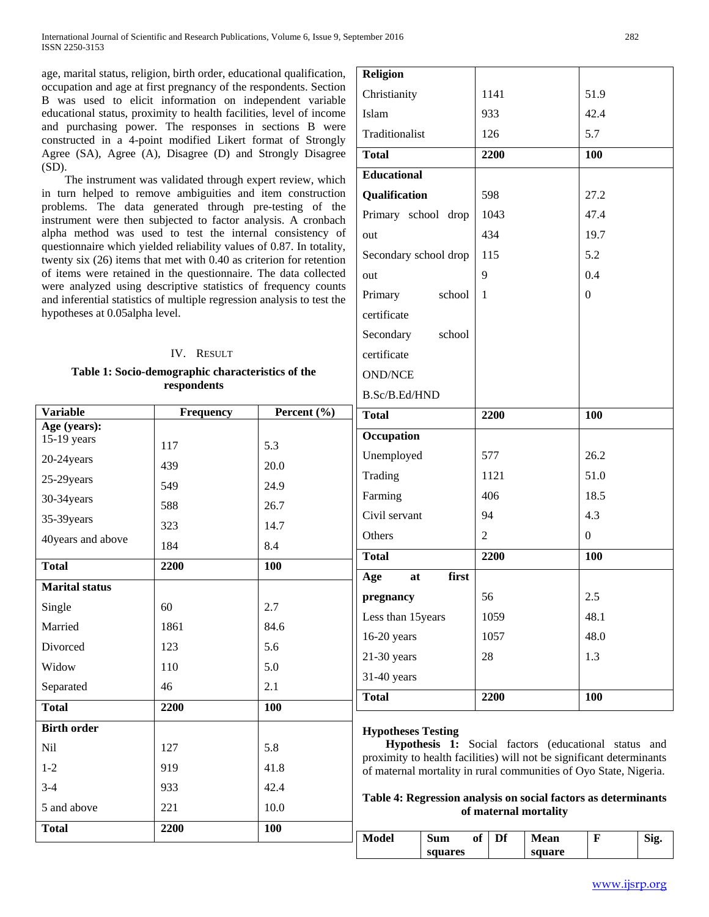age, marital status, religion, birth order, educational qualification, occupation and age at first pregnancy of the respondents. Section B was used to elicit information on independent variable educational status, proximity to health facilities, level of income and purchasing power. The responses in sections B were constructed in a 4-point modified Likert format of Strongly Agree (SA), Agree (A), Disagree (D) and Strongly Disagree (SD).

 The instrument was validated through expert review, which in turn helped to remove ambiguities and item construction problems. The data generated through pre-testing of the instrument were then subjected to factor analysis. A cronbach alpha method was used to test the internal consistency of questionnaire which yielded reliability values of 0.87. In totality, twenty six (26) items that met with 0.40 as criterion for retention of items were retained in the questionnaire. The data collected were analyzed using descriptive statistics of frequency counts and inferential statistics of multiple regression analysis to test the hypotheses at 0.05alpha level.

# IV. RESULT **Table 1: Socio-demographic characteristics of the respondents**

| <b>Variable</b>       | Frequency | Percent (%) |
|-----------------------|-----------|-------------|
| Age (years):          |           |             |
| 15-19 years           | 117       | 5.3         |
| 20-24 years           | 439       | 20.0        |
| 25-29years            | 549       | 24.9        |
| 30-34years            | 588       | 26.7        |
| 35-39years            | 323       | 14.7        |
| 40years and above     | 184       | 8.4         |
| <b>Total</b>          | 2200      | 100         |
| <b>Marital status</b> |           |             |
| Single                | 60        | 2.7         |
| Married               | 1861      | 84.6        |
| Divorced              | 123       | 5.6         |
| Widow                 | 110       | 5.0         |
| Separated             | 46        | 2.1         |
| <b>Total</b>          | 2200      | 100         |
| <b>Birth order</b>    |           |             |
| <b>Nil</b>            | 127       | 5.8         |
| $1 - 2$               | 919       | 41.8        |
| $3 - 4$               | 933       | 42.4        |
| 5 and above           | 221       | 10.0        |
| <b>Total</b>          | 2200      | 100         |

| <b>Religion</b>       |                |                |  |
|-----------------------|----------------|----------------|--|
| Christianity          | 1141           | 51.9           |  |
| Islam                 | 933            | 42.4           |  |
| Traditionalist        | 126            | 5.7            |  |
| <b>Total</b>          | 2200           | 100            |  |
| <b>Educational</b>    |                |                |  |
| Qualification         | 598            | 27.2           |  |
| Primary school drop   | 1043           | 47.4           |  |
| out                   | 434            | 19.7           |  |
| Secondary school drop | 115            | 5.2            |  |
| out                   | 9              | 0.4            |  |
| Primary<br>school     | 1              | $\mathbf{0}$   |  |
| certificate           |                |                |  |
| Secondary<br>school   |                |                |  |
| certificate           |                |                |  |
| <b>OND/NCE</b>        |                |                |  |
| B.Sc/B.Ed/HND         |                |                |  |
| <b>Total</b>          | 2200           | 100            |  |
| Occupation            |                |                |  |
| Unemployed            | 577            | 26.2           |  |
| Trading               | 1121           | 51.0           |  |
| Farming               | 406            | 18.5           |  |
| Civil servant         | 94             | 4.3            |  |
| Others                | $\overline{2}$ | $\overline{0}$ |  |
| <b>Total</b>          | 2200           | 100            |  |
| first<br>Age<br>at    |                |                |  |
| pregnancy             | 56             | 2.5            |  |
| Less than 15 years    | 1059           | 48.1           |  |
| 16-20 years           | 1057           | 48.0           |  |
| $21-30$ years         | 28             | 1.3            |  |
| 31-40 years           |                |                |  |
| <b>Total</b>          |                |                |  |

# **Hypotheses Testing**

 **Hypothesis 1:** Social factors (educational status and proximity to health facilities) will not be significant determinants of maternal mortality in rural communities of Oyo State, Nigeria.

## **Table 4: Regression analysis on social factors as determinants of maternal mortality**

| Model | Sum     | ОÏ | <b>Mean</b> | Sig. |
|-------|---------|----|-------------|------|
|       | squares |    | square      |      |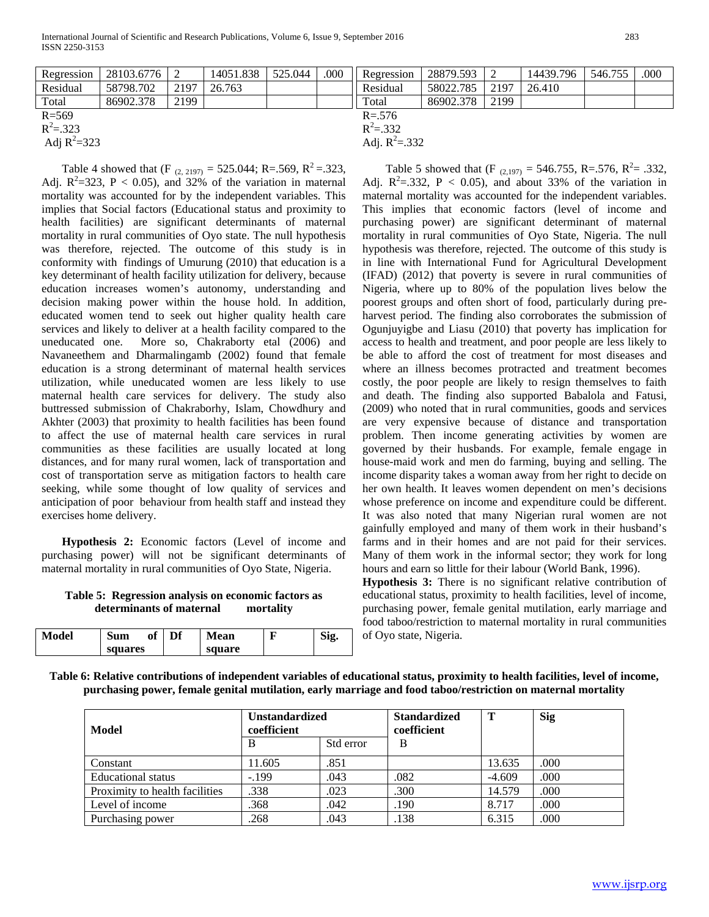| Regression      | 28103.6776 |      | 14051.838 | 525.044           | .000      | Regression | 28879.593 |      | 14439.796 | 546.755 | .000 |
|-----------------|------------|------|-----------|-------------------|-----------|------------|-----------|------|-----------|---------|------|
| Residual        | 58798.702  | 2197 | 26.763    |                   |           | Residual   | 58022.785 | 2197 | 26.410    |         |      |
| Total           | 86902.378  | 2199 |           |                   |           | Total      | 86902.378 | 2199 |           |         |      |
| $R = 569$       |            |      |           |                   | $R = 576$ |            |           |      |           |         |      |
| $R^2 = 323$     |            |      |           | $R^2 = 332$       |           |            |           |      |           |         |      |
| Adj $R^2 = 323$ |            |      |           | Adj. $R^2 = .332$ |           |            |           |      |           |         |      |

Table 4 showed that (F  $_{(2, 2197)} = 525.044$ ; R=.569, R<sup>2</sup>=.323, Adj.  $R^2 = 323$ ,  $P < 0.05$ ), and 32% of the variation in maternal mortality was accounted for by the independent variables. This implies that Social factors (Educational status and proximity to health facilities) are significant determinants of maternal mortality in rural communities of Oyo state. The null hypothesis was therefore, rejected. The outcome of this study is in conformity with findings of Umurung (2010) that education is a key determinant of health facility utilization for delivery, because education increases women's autonomy, understanding and decision making power within the house hold. In addition, educated women tend to seek out higher quality health care services and likely to deliver at a health facility compared to the uneducated one. More so, Chakraborty etal (2006) and Navaneethem and Dharmalingamb (2002) found that female education is a strong determinant of maternal health services utilization, while uneducated women are less likely to use maternal health care services for delivery. The study also buttressed submission of Chakraborhy, Islam, Chowdhury and Akhter (2003) that proximity to health facilities has been found to affect the use of maternal health care services in rural communities as these facilities are usually located at long distances, and for many rural women, lack of transportation and cost of transportation serve as mitigation factors to health care seeking, while some thought of low quality of services and anticipation of poor behaviour from health staff and instead they exercises home delivery.

 **Hypothesis 2:** Economic factors (Level of income and purchasing power) will not be significant determinants of maternal mortality in rural communities of Oyo State, Nigeria.

## **Table 5: Regression analysis on economic factors as determinants of maternal mortality**

| Model | Sum<br>ot |  | Df | Mean   | т<br> | n.<br>Sig. |  |
|-------|-----------|--|----|--------|-------|------------|--|
|       | squares   |  |    | square |       |            |  |

Table 5 showed that (F  $_{(2,197)} = 546.755$ , R=.576, R<sup>2</sup>= .332, Adj.  $R^2 = 0.332$ ,  $P < 0.05$ ), and about 33% of the variation in maternal mortality was accounted for the independent variables. This implies that economic factors (level of income and purchasing power) are significant determinant of maternal mortality in rural communities of Oyo State, Nigeria. The null hypothesis was therefore, rejected. The outcome of this study is in line with International Fund for Agricultural Development (IFAD) (2012) that poverty is severe in rural communities of Nigeria, where up to 80% of the population lives below the poorest groups and often short of food, particularly during preharvest period. The finding also corroborates the submission of Ogunjuyigbe and Liasu (2010) that poverty has implication for access to health and treatment, and poor people are less likely to be able to afford the cost of treatment for most diseases and where an illness becomes protracted and treatment becomes costly, the poor people are likely to resign themselves to faith and death. The finding also supported Babalola and Fatusi, (2009) who noted that in rural communities, goods and services are very expensive because of distance and transportation problem. Then income generating activities by women are governed by their husbands. For example, female engage in house-maid work and men do farming, buying and selling. The income disparity takes a woman away from her right to decide on her own health. It leaves women dependent on men's decisions whose preference on income and expenditure could be different. It was also noted that many Nigerian rural women are not gainfully employed and many of them work in their husband's farms and in their homes and are not paid for their services. Many of them work in the informal sector; they work for long hours and earn so little for their labour (World Bank, 1996).

**Hypothesis 3:** There is no significant relative contribution of educational status, proximity to health facilities, level of income, purchasing power, female genital mutilation, early marriage and food taboo/restriction to maternal mortality in rural communities of Oyo state, Nigeria.

**Table 6: Relative contributions of independent variables of educational status, proximity to health facilities, level of income, purchasing power, female genital mutilation, early marriage and food taboo/restriction on maternal mortality**

| Model                          | <b>Unstandardized</b><br>coefficient |           | <b>Standardized</b><br>coefficient | Т        | <b>Sig</b> |
|--------------------------------|--------------------------------------|-----------|------------------------------------|----------|------------|
|                                | В                                    | Std error | B                                  |          |            |
| Constant                       | 11.605                               | .851      |                                    | 13.635   | .000       |
| <b>Educational</b> status      | $-199$                               | .043      | .082                               | $-4.609$ | .000       |
| Proximity to health facilities | .338                                 | .023      | .300                               | 14.579   | .000       |
| Level of income                | .368                                 | .042      | .190                               | 8.717    | .000       |
| Purchasing power               | 268                                  | .043      | .138                               | 6.315    | .000       |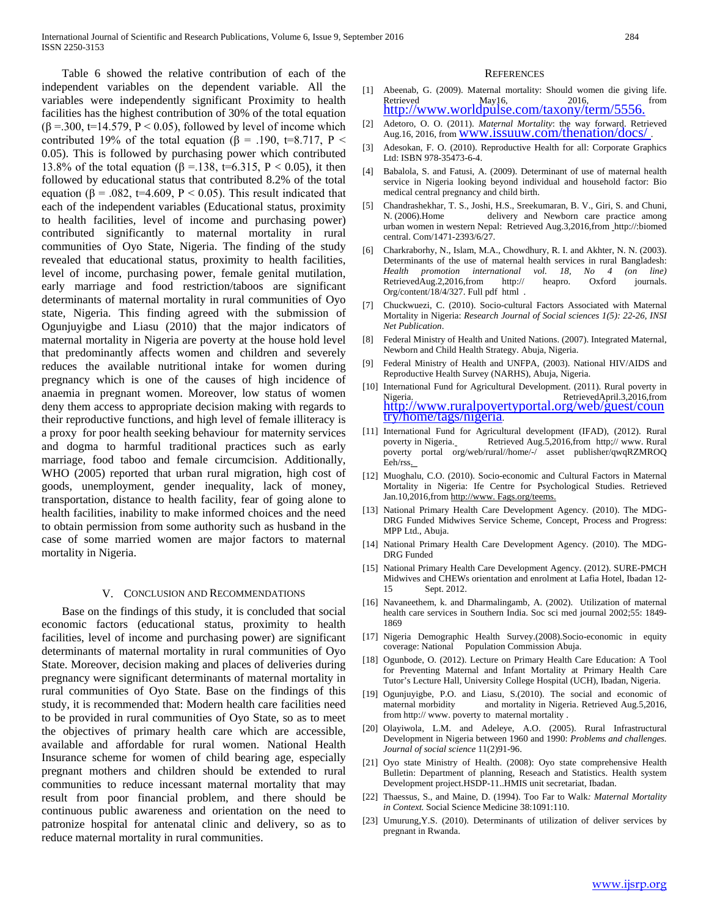Table 6 showed the relative contribution of each of the independent variables on the dependent variable. All the variables were independently significant Proximity to health facilities has the highest contribution of 30% of the total equation  $(\beta = 0.300, t=14.579, P < 0.05)$ , followed by level of income which contributed 19% of the total equation ( $\beta$  = .190, t=8.717, P < 0.05). This is followed by purchasing power which contributed 13.8% of the total equation (β = 138, t=6.315, P < 0.05), it then followed by educational status that contributed 8.2% of the total equation ( $\beta$  = .082, t=4.609, P < 0.05). This result indicated that each of the independent variables (Educational status, proximity to health facilities, level of income and purchasing power) contributed significantly to maternal mortality in rural communities of Oyo State, Nigeria. The finding of the study revealed that educational status, proximity to health facilities, level of income, purchasing power, female genital mutilation, early marriage and food restriction/taboos are significant determinants of maternal mortality in rural communities of Oyo state, Nigeria. This finding agreed with the submission of Ogunjuyigbe and Liasu (2010) that the major indicators of maternal mortality in Nigeria are poverty at the house hold level that predominantly affects women and children and severely reduces the available nutritional intake for women during pregnancy which is one of the causes of high incidence of anaemia in pregnant women. Moreover, low status of women deny them access to appropriate decision making with regards to their reproductive functions, and high level of female illiteracy is a proxy for poor health seeking behaviour for maternity services and dogma to harmful traditional practices such as early marriage, food taboo and female circumcision. Additionally, WHO (2005) reported that urban rural migration, high cost of goods, unemployment, gender inequality, lack of money, transportation, distance to health facility, fear of going alone to health facilities, inability to make informed choices and the need to obtain permission from some authority such as husband in the case of some married women are major factors to maternal mortality in Nigeria.

#### V. CONCLUSION AND RECOMMENDATIONS

 Base on the findings of this study, it is concluded that social economic factors (educational status, proximity to health facilities, level of income and purchasing power) are significant determinants of maternal mortality in rural communities of Oyo State. Moreover, decision making and places of deliveries during pregnancy were significant determinants of maternal mortality in rural communities of Oyo State. Base on the findings of this study, it is recommended that: Modern health care facilities need to be provided in rural communities of Oyo State, so as to meet the objectives of primary health care which are accessible, available and affordable for rural women. National Health Insurance scheme for women of child bearing age, especially pregnant mothers and children should be extended to rural communities to reduce incessant maternal mortality that may result from poor financial problem, and there should be continuous public awareness and orientation on the need to patronize hospital for antenatal clinic and delivery, so as to reduce maternal mortality in rural communities.

#### **REFERENCES**

- [1] Abeenab, G. (2009). Maternal mortality: Should women die giving life. Retrieved May16, 2016, 2016, from<br>[http://www.worldpulse.com/taxony/term/5556.](http://www.worldpulse.com/taxony/term/5556.%20Retrieved%20on%2016/5/2011)
- [2] Adetoro, O. O. (2011). *Maternal Mortality*: the way forward. Retrieved Aug.16, 2016, from WWW.issuuw.com/thenation/docs/
- [3] Adesokan, F. O. (2010). Reproductive Health for all: Corporate Graphics Ltd: ISBN 978-35473-6-4.
- [4] Babalola, S. and Fatusi, A. (2009). Determinant of use of maternal health service in Nigeria looking beyond individual and household factor: Bio medical central pregnancy and child birth.
- [5] Chandrashekhar, T. S., Joshi, H.S., Sreekumaran, B. V., Giri, S. and Chuni, N. (2006).Home delivery and Newborn care practice among urban women in western Nepal: Retrieved Aug.3,2016,from http://:biomed central. Com/1471-2393/6/27.
- [6] Charkraborhy, N., Islam, M.A., Chowdhury, R. I. and Akhter, N. N. (2003). Determinants of the use of maternal health services in rural Bangladesh: *Health promotion international vol. 18, No 4 (on line)* RetrievedAug.2,2016,from http:// heapro. Oxford journals. Org/content/18/4/327. Full pdf html .
- [7] Chuckwuezi, C. (2010). Socio-cultural Factors Associated with Maternal Mortality in Nigeria: *Research Journal of Social sciences 1(5): 22-26, INSI Net Publication*.
- [8] Federal Ministry of Health and United Nations. (2007). Integrated Maternal, Newborn and Child Health Strategy. Abuja, Nigeria.
- [9] Federal Ministry of Health and UNFPA, (2003). National HIV/AIDS and Reproductive Health Survey (NARHS), Abuja, Nigeria.
- [10] International Fund for Agricultural Development. (2011). Rural poverty in Nigeria. RetrievedApril.3,2016,from [http://www.ruralpovertyportal.org/web/guest/coun](http://www.ruralpovertyportal.org/web/guest/country/home/tags/nigeria) [try/home/tags/nigeria.](http://www.ruralpovertyportal.org/web/guest/country/home/tags/nigeria)
- [11] International Fund for Agricultural development (IFAD), (2012). Rural poverty in Nigeria. Retrieved Aug.5,2016,from http;// www. Rural poverty portal org/web/rural//home/-/ asset publisher/qwqRZMROQ Eeh/rss.
- [12] Muoghalu, C.O. (2010). Socio-economic and Cultural Factors in Maternal Mortality in Nigeria: Ife Centre for Psychological Studies. Retrieved Jan.10,2016,from http://www. Fags.org/teems.
- [13] National Primary Health Care Development Agency. (2010). The MDG-DRG Funded Midwives Service Scheme, Concept, Process and Progress: MPP Ltd., Abuja.
- [14] National Primary Health Care Development Agency. (2010). The MDG-DRG Funded
- [15] National Primary Health Care Development Agency. (2012). SURE-PMCH Midwives and CHEWs orientation and enrolment at Lafia Hotel, Ibadan 12- 15 Sept. 2012.
- [16] Navaneethem, k. and Dharmalingamb, A. (2002). Utilization of maternal health care services in Southern India. Soc sci med journal 2002;55: 1849- 1869
- [17] Nigeria Demographic Health Survey.(2008).Socio-economic in equity coverage: National Population Commission Abuja.
- [18] Ogunbode, O. (2012). Lecture on Primary Health Care Education: A Tool for Preventing Maternal and Infant Mortality at Primary Health Care Tutor's Lecture Hall, University College Hospital (UCH), Ibadan, Nigeria.
- [19] Ogunjuyigbe, P.O. and Liasu, S.(2010). The social and economic of maternal morbidity and mortality in Nigeria. Retrieved Aug.5,2016, from http:// www. poverty to maternal mortality .
- [20] Olayiwola, L.M. and Adeleye, A.O. (2005). Rural Infrastructural Development in Nigeria between 1960 and 1990: *Problems and challenges. Journal of social science* 11(2)91-96.
- [21] Oyo state Ministry of Health. (2008): Oyo state comprehensive Health Bulletin: Department of planning, Reseach and Statistics. Health system Development project.HSDP-11..HMIS unit secretariat, Ibadan.
- [22] Thaessus, S., and Maine, D. (1994). Too Far to Walk*: Maternal Mortality in Context.* Social Science Medicine 38:1091:110.
- [23] Umurung, Y.S. (2010). Determinants of utilization of deliver services by pregnant in Rwanda.